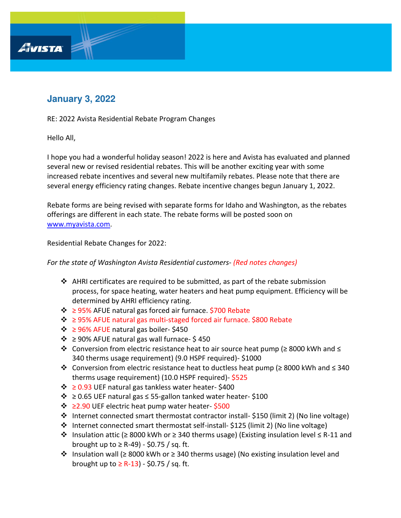## **January 3, 2022**

RE: 2022 Avista Residential Rebate Program Changes

Hello All,

AVISTA

I hope you had a wonderful holiday season! 2022 is here and Avista has evaluated and planned several new or revised residential rebates. This will be another exciting year with some increased rebate incentives and several new multifamily rebates. Please note that there are several energy efficiency rating changes. Rebate incentive changes begun January 1, 2022.

Rebate forms are being revised with separate forms for Idaho and Washington, as the rebates offerings are different in each state. The rebate forms will be posted soon on [www.myavista.com.](http://www.myavista.com/)

Residential Rebate Changes for 2022:

*For the state of Washington Avista Residential customers- (Red notes changes)*

- ❖ AHRI certificates are required to be submitted, as part of the rebate submission process, for space heating, water heaters and heat pump equipment. Efficiency will be determined by AHRI efficiency rating.
- ❖ ≥ 95% AFUE natural gas forced air furnace. \$700 Rebate
- ❖ ≥ 95% AFUE natural gas multi-staged forced air furnace. \$800 Rebate
- ❖ ≥ 96% AFUE natural gas boiler- \$450
- $\dots$  ≥ 90% AFUE natural gas wall furnace-\$450
- ❖ Conversion from electric resistance heat to air source heat pump (≥ 8000 kWh and ≤ 340 therms usage requirement) (9.0 HSPF required)- \$1000
- ❖ Conversion from electric resistance heat to ductless heat pump (≥ 8000 kWh and ≤ 340 therms usage requirement) (10.0 HSPF required)- \$525
- ❖ ≥ 0.93 UEF natural gas tankless water heater- \$400
- $\dots$  ≥ 0.65 UEF natural gas  $\leq$  55-gallon tanked water heater-\$100
- ❖ ≥2.90 UEF electric heat pump water heater- \$500
- ❖ Internet connected smart thermostat contractor install- \$150 (limit 2) (No line voltage)
- ❖ Internet connected smart thermostat self-install- \$125 (limit 2) (No line voltage)
- ❖ Insulation attic (≥ 8000 kWh or ≥ 340 therms usage) (Existing insulation level ≤ R-11 and brought up to  $\geq$  R-49) - \$0.75 / sq. ft.
- ❖ Insulation wall (≥ 8000 kWh or ≥ 340 therms usage) (No existing insulation level and brought up to  $\geq$  R-13) - \$0.75 / sq. ft.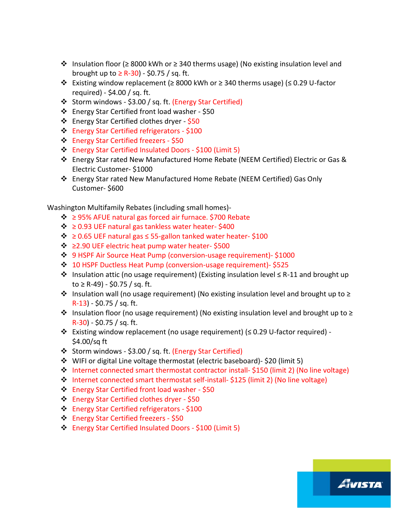- ❖ Insulation floor (≥ 8000 kWh or ≥ 340 therms usage) (No existing insulation level and brought up to  $\geq$  R-30) - \$0.75 / sq. ft.
- ❖ Existing window replacement (≥ 8000 kWh or ≥ 340 therms usage) (≤ 0.29 U-factor required) - \$4.00 / sq. ft.
- ❖ Storm windows \$3.00 / sq. ft. (Energy Star Certified)
- ❖ Energy Star Certified front load washer \$50
- ❖ Energy Star Certified clothes dryer \$50
- ❖ Energy Star Certified refrigerators \$100
- ❖ Energy Star Certified freezers \$50
- ❖ Energy Star Certified Insulated Doors \$100 (Limit 5)
- ❖ Energy Star rated New Manufactured Home Rebate (NEEM Certified) Electric or Gas & Electric Customer- \$1000
- ❖ Energy Star rated New Manufactured Home Rebate (NEEM Certified) Gas Only Customer- \$600

Washington Multifamily Rebates (including small homes)-

- ❖ ≥ 95% AFUE natural gas forced air furnace. \$700 Rebate
- ❖ ≥ 0.93 UEF natural gas tankless water heater- \$400
- ❖ ≥ 0.65 UEF natural gas ≤ 55-gallon tanked water heater- \$100
- ❖ ≥2.90 UEF electric heat pump water heater- \$500
- ❖ 9 HSPF Air Source Heat Pump (conversion-usage requirement)- \$1000
- ❖ 10 HSPF Ductless Heat Pump (conversion-usage requirement)- \$525
- ❖ Insulation attic (no usage requirement) (Existing insulation level ≤ R-11 and brought up to ≥ R-49) - \$0.75 / sq. ft.
- $\dots$  Insulation wall (no usage requirement) (No existing insulation level and brought up to  $\ge$ R-13) - \$0.75 / sq. ft.
- ❖ Insulation floor (no usage requirement) (No existing insulation level and brought up to ≥ R-30) - \$0.75 / sq. ft.
- ❖ Existing window replacement (no usage requirement) (≤ 0.29 U-factor required) \$4.00/sq ft
- ❖ Storm windows \$3.00 / sq. ft. (Energy Star Certified)
- ❖ WIFI or digital Line voltage thermostat (electric baseboard)- \$20 (limit 5)
- ❖ Internet connected smart thermostat contractor install- \$150 (limit 2) (No line voltage)

AVISTA

- ❖ Internet connected smart thermostat self-install- \$125 (limit 2) (No line voltage)
- ❖ Energy Star Certified front load washer \$50
- ❖ Energy Star Certified clothes dryer \$50
- ❖ Energy Star Certified refrigerators \$100
- ❖ Energy Star Certified freezers \$50
- ❖ Energy Star Certified Insulated Doors \$100 (Limit 5)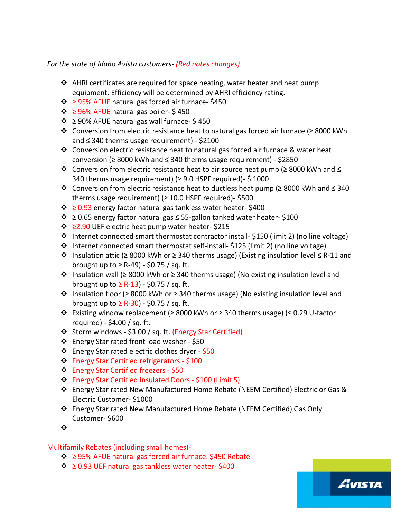*For the state of Idaho Avista customers- (Red notes changes)*

- ❖ AHRI certificates are required for space heating, water heater and heat pump equipment. Efficiency will be determined by AHRI efficiency rating.
- ❖ ≥ 95% AFUE natural gas forced air furnace- \$450
- ❖ ≥ 96% AFUE natural gas boiler- \$ 450
- $\div$  ≥ 90% AFUE natural gas wall furnace- \$450
- ❖ Conversion from electric resistance heat to natural gas forced air furnace (≥ 8000 kWh and ≤ 340 therms usage requirement) - \$2100
- $\dots$  Conversion electric resistance heat to natural gas forced air furnace & water heat conversion (≥ 8000 kWh and ≤ 340 therms usage requirement) - \$2850
- ❖ Conversion from electric resistance heat to air source heat pump (≥ 8000 kWh and ≤ 340 therms usage requirement) ( $\geq$  9.0 HSPF required)- \$1000
- ❖ Conversion from electric resistance heat to ductless heat pump (≥ 8000 kWh and ≤ 340 therms usage requirement) ( $\geq$  10.0 HSPF required)- \$500
- ❖ ≥ 0.93 energy factor natural gas tankless water heater- \$400
- ❖ ≥ 0.65 energy factor natural gas ≤ 55-gallon tanked water heater- \$100
- ❖ ≥2.90 UEF electric heat pump water heater- \$215
- ❖ Internet connected smart thermostat contractor install- \$150 (limit 2) (no line voltage)
- ❖ Internet connected smart thermostat self-install- \$125 (limit 2) (no line voltage)
- ❖ Insulation attic (≥ 8000 kWh or ≥ 340 therms usage) (Existing insulation level ≤ R-11 and brought up to  $\geq$  R-49) - \$0.75 / sq. ft.
- ❖ Insulation wall (≥ 8000 kWh or ≥ 340 therms usage) (No existing insulation level and brought up to  $\geq$  R-13) - \$0.75 / sq. ft.
- ❖ Insulation floor (≥ 8000 kWh or ≥ 340 therms usage) (No existing insulation level and brought up to  $\geq$  R-30) - \$0.75 / sq. ft.
- ❖ Existing window replacement (≥ 8000 kWh or ≥ 340 therms usage) (≤ 0.29 U-factor required) - \$4.00 / sq. ft.
- ❖ Storm windows \$3.00 / sq. ft. (Energy Star Certified)
- ❖ Energy Star rated front load washer \$50
- ❖ Energy Star rated electric clothes dryer \$50
- ❖ Energy Star Certified refrigerators \$100
- ❖ Energy Star Certified freezers \$50
- ❖ Energy Star Certified Insulated Doors \$100 (Limit 5)
- ❖ Energy Star rated New Manufactured Home Rebate (NEEM Certified) Electric or Gas & Electric Customer- \$1000

AVISTA

- ❖ Energy Star rated New Manufactured Home Rebate (NEEM Certified) Gas Only Customer- \$600
- ❖

## Multifamily Rebates (including small homes)-

- ❖ ≥ 95% AFUE natural gas forced air furnace. \$450 Rebate
- ❖ ≥ 0.93 UEF natural gas tankless water heater- \$400